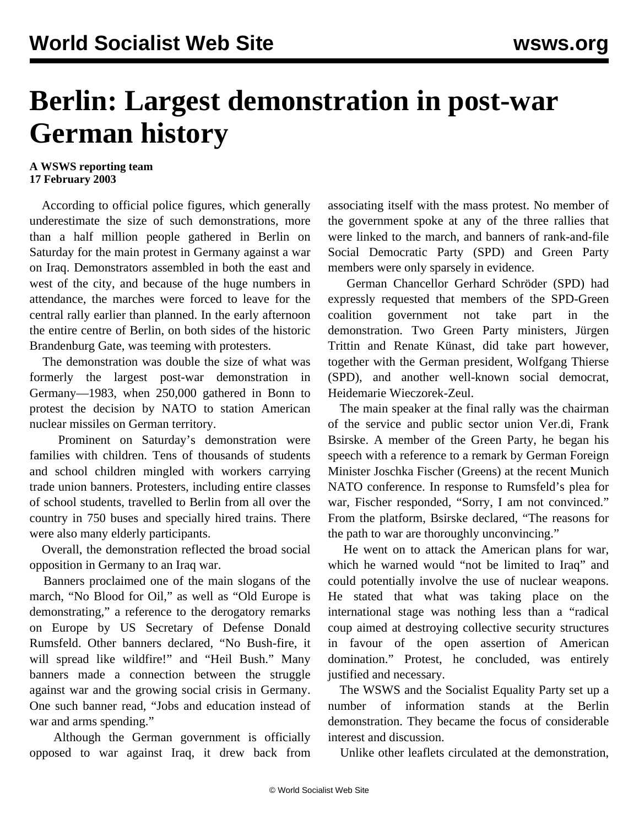## **Berlin: Largest demonstration in post-war German history**

## **A WSWS reporting team 17 February 2003**

 According to official police figures, which generally underestimate the size of such demonstrations, more than a half million people gathered in Berlin on Saturday for the main protest in Germany against a war on Iraq. Demonstrators assembled in both the east and west of the city, and because of the huge numbers in attendance, the marches were forced to leave for the central rally earlier than planned. In the early afternoon the entire centre of Berlin, on both sides of the historic Brandenburg Gate, was teeming with protesters.

 The demonstration was double the size of what was formerly the largest post-war demonstration in Germany—1983, when 250,000 gathered in Bonn to protest the decision by NATO to station American nuclear missiles on German territory.

 Prominent on Saturday's demonstration were families with children. Tens of thousands of students and school children mingled with workers carrying trade union banners. Protesters, including entire classes of school students, travelled to Berlin from all over the country in 750 buses and specially hired trains. There were also many elderly participants.

 Overall, the demonstration reflected the broad social opposition in Germany to an Iraq war.

 Banners proclaimed one of the main slogans of the march, "No Blood for Oil," as well as "Old Europe is demonstrating," a reference to the derogatory remarks on Europe by US Secretary of Defense Donald Rumsfeld. Other banners declared, "No Bush-fire, it will spread like wildfire!" and "Heil Bush." Many banners made a connection between the struggle against war and the growing social crisis in Germany. One such banner read, "Jobs and education instead of war and arms spending."

 Although the German government is officially opposed to war against Iraq, it drew back from associating itself with the mass protest. No member of the government spoke at any of the three rallies that were linked to the march, and banners of rank-and-file Social Democratic Party (SPD) and Green Party members were only sparsely in evidence.

 German Chancellor Gerhard Schröder (SPD) had expressly requested that members of the SPD-Green coalition government not take part in the demonstration. Two Green Party ministers, Jürgen Trittin and Renate Künast, did take part however, together with the German president, Wolfgang Thierse (SPD), and another well-known social democrat, Heidemarie Wieczorek-Zeul.

 The main speaker at the final rally was the chairman of the service and public sector union Ver.di, Frank Bsirske. A member of the Green Party, he began his speech with a reference to a remark by German Foreign Minister Joschka Fischer (Greens) at the recent Munich NATO conference. In response to Rumsfeld's plea for war, Fischer responded, "Sorry, I am not convinced." From the platform, Bsirske declared, "The reasons for the path to war are thoroughly unconvincing."

 He went on to attack the American plans for war, which he warned would "not be limited to Iraq" and could potentially involve the use of nuclear weapons. He stated that what was taking place on the international stage was nothing less than a "radical coup aimed at destroying collective security structures in favour of the open assertion of American domination." Protest, he concluded, was entirely justified and necessary.

 The WSWS and the Socialist Equality Party set up a number of information stands at the Berlin demonstration. They became the focus of considerable interest and discussion.

Unlike other leaflets circulated at the demonstration,